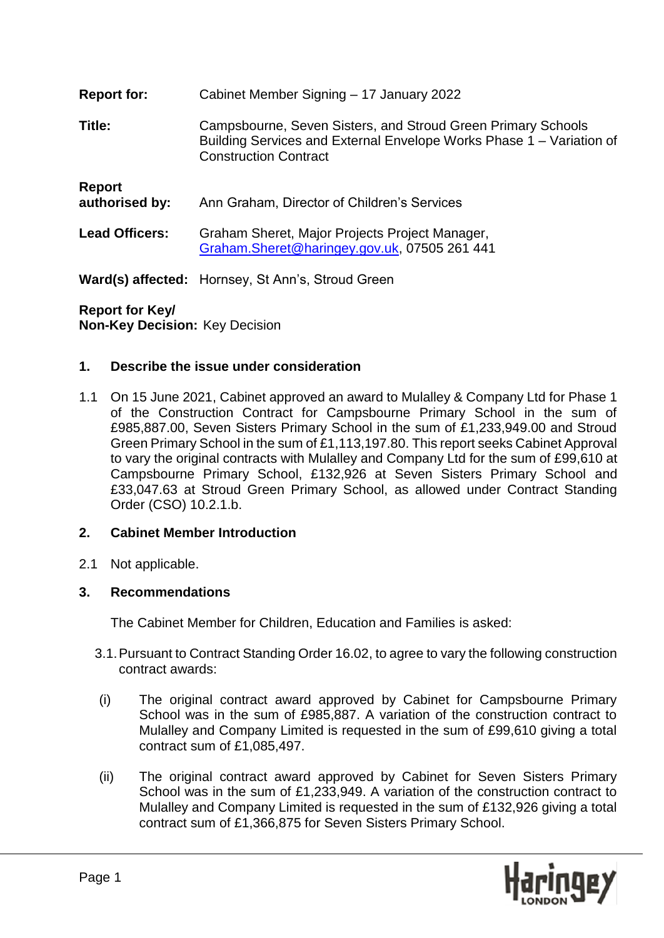| <b>Report for:</b>       | Cabinet Member Signing - 17 January 2022                                                                                                                             |
|--------------------------|----------------------------------------------------------------------------------------------------------------------------------------------------------------------|
| Title:                   | Campsbourne, Seven Sisters, and Stroud Green Primary Schools<br>Building Services and External Envelope Works Phase 1 – Variation of<br><b>Construction Contract</b> |
| Report<br>authorised by: | Ann Graham, Director of Children's Services                                                                                                                          |
| <b>Lead Officers:</b>    | Graham Sheret, Major Projects Project Manager,<br>Graham.Sheret@haringey.gov.uk, 07505 261 441                                                                       |
|                          | <b>Ward(s) affected:</b> Hornsey, St Ann's, Stroud Green                                                                                                             |

# **Report for Key/**

**Non-Key Decision:** Key Decision

## **1. Describe the issue under consideration**

1.1 On 15 June 2021, Cabinet approved an award to Mulalley & Company Ltd for Phase 1 of the Construction Contract for Campsbourne Primary School in the sum of £985,887.00, Seven Sisters Primary School in the sum of £1,233,949.00 and Stroud Green Primary School in the sum of £1,113,197.80. This report seeks Cabinet Approval to vary the original contracts with Mulalley and Company Ltd for the sum of £99,610 at Campsbourne Primary School, £132,926 at Seven Sisters Primary School and £33,047.63 at Stroud Green Primary School, as allowed under Contract Standing Order (CSO) 10.2.1.b.

## **2. Cabinet Member Introduction**

2.1 Not applicable.

## **3. Recommendations**

The Cabinet Member for Children, Education and Families is asked:

- 3.1.Pursuant to Contract Standing Order 16.02, to agree to vary the following construction contract awards:
- (i) The original contract award approved by Cabinet for Campsbourne Primary School was in the sum of £985,887. A variation of the construction contract to Mulalley and Company Limited is requested in the sum of £99,610 giving a total contract sum of £1,085,497.
- (ii) The original contract award approved by Cabinet for Seven Sisters Primary School was in the sum of £1,233,949. A variation of the construction contract to Mulalley and Company Limited is requested in the sum of £132,926 giving a total contract sum of £1,366,875 for Seven Sisters Primary School.

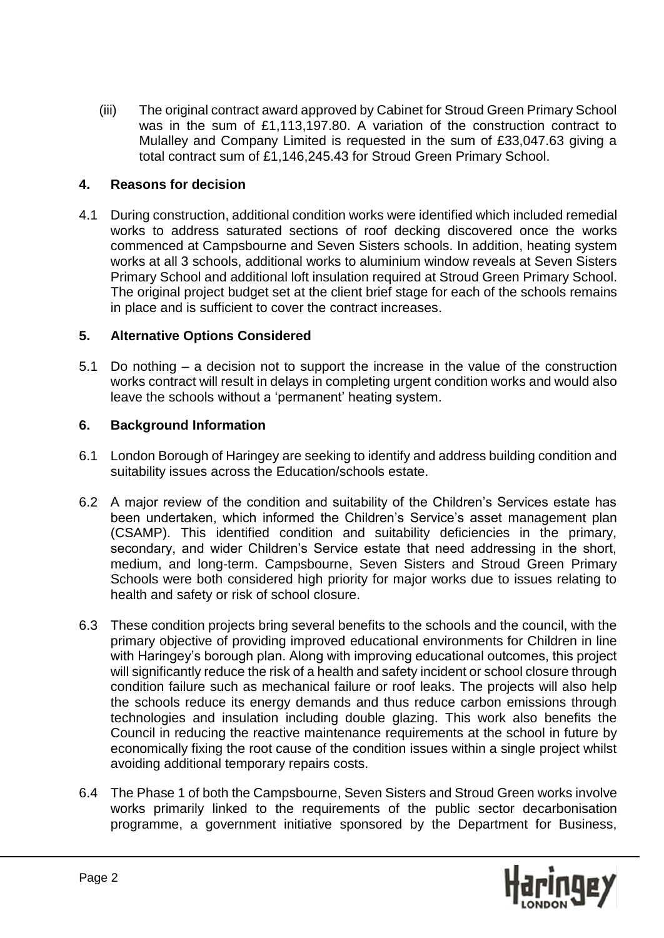(iii) The original contract award approved by Cabinet for Stroud Green Primary School was in the sum of £1,113,197.80. A variation of the construction contract to Mulalley and Company Limited is requested in the sum of £33,047.63 giving a total contract sum of £1,146,245.43 for Stroud Green Primary School.

## **4. Reasons for decision**

4.1 During construction, additional condition works were identified which included remedial works to address saturated sections of roof decking discovered once the works commenced at Campsbourne and Seven Sisters schools. In addition, heating system works at all 3 schools, additional works to aluminium window reveals at Seven Sisters Primary School and additional loft insulation required at Stroud Green Primary School. The original project budget set at the client brief stage for each of the schools remains in place and is sufficient to cover the contract increases.

#### **5. Alternative Options Considered**

5.1 Do nothing – a decision not to support the increase in the value of the construction works contract will result in delays in completing urgent condition works and would also leave the schools without a 'permanent' heating system.

#### **6. Background Information**

- 6.1 London Borough of Haringey are seeking to identify and address building condition and suitability issues across the Education/schools estate.
- 6.2 A major review of the condition and suitability of the Children's Services estate has been undertaken, which informed the Children's Service's asset management plan (CSAMP). This identified condition and suitability deficiencies in the primary, secondary, and wider Children's Service estate that need addressing in the short, medium, and long-term. Campsbourne, Seven Sisters and Stroud Green Primary Schools were both considered high priority for major works due to issues relating to health and safety or risk of school closure.
- 6.3 These condition projects bring several benefits to the schools and the council, with the primary objective of providing improved educational environments for Children in line with Haringey's borough plan. Along with improving educational outcomes, this project will significantly reduce the risk of a health and safety incident or school closure through condition failure such as mechanical failure or roof leaks. The projects will also help the schools reduce its energy demands and thus reduce carbon emissions through technologies and insulation including double glazing. This work also benefits the Council in reducing the reactive maintenance requirements at the school in future by economically fixing the root cause of the condition issues within a single project whilst avoiding additional temporary repairs costs.
- 6.4 The Phase 1 of both the Campsbourne, Seven Sisters and Stroud Green works involve works primarily linked to the requirements of the public sector decarbonisation programme, a government initiative sponsored by the Department for Business,

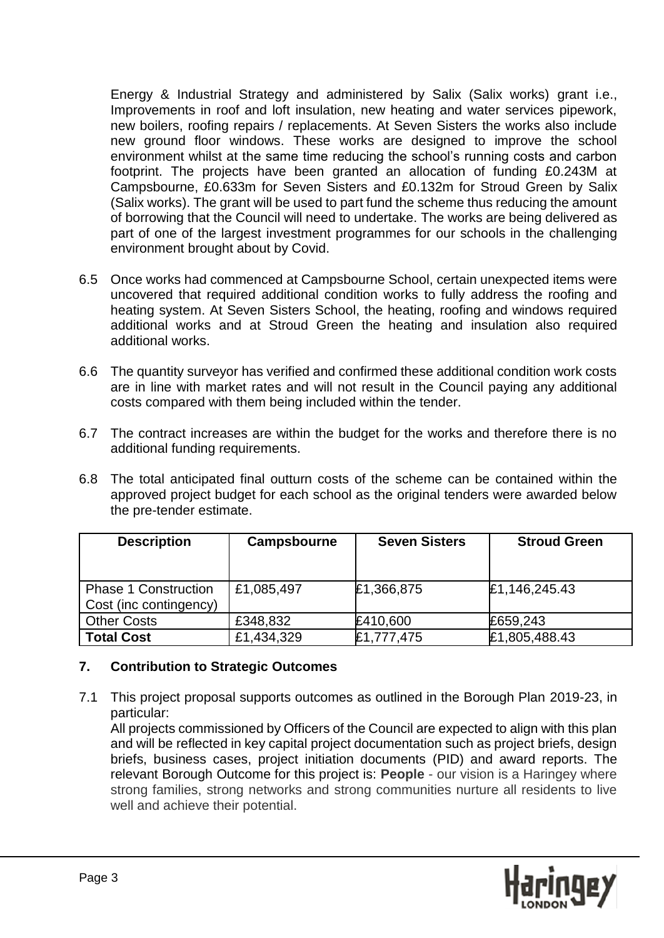Energy & Industrial Strategy and administered by Salix (Salix works) grant i.e., Improvements in roof and loft insulation, new heating and water services pipework, new boilers, roofing repairs / replacements. At Seven Sisters the works also include new ground floor windows. These works are designed to improve the school environment whilst at the same time reducing the school's running costs and carbon footprint. The projects have been granted an allocation of funding £0.243M at Campsbourne, £0.633m for Seven Sisters and £0.132m for Stroud Green by Salix (Salix works). The grant will be used to part fund the scheme thus reducing the amount of borrowing that the Council will need to undertake. The works are being delivered as part of one of the largest investment programmes for our schools in the challenging environment brought about by Covid.

- 6.5 Once works had commenced at Campsbourne School, certain unexpected items were uncovered that required additional condition works to fully address the roofing and heating system. At Seven Sisters School, the heating, roofing and windows required additional works and at Stroud Green the heating and insulation also required additional works.
- 6.6 The quantity surveyor has verified and confirmed these additional condition work costs are in line with market rates and will not result in the Council paying any additional costs compared with them being included within the tender.
- 6.7 The contract increases are within the budget for the works and therefore there is no additional funding requirements.
- 6.8 The total anticipated final outturn costs of the scheme can be contained within the approved project budget for each school as the original tenders were awarded below the pre-tender estimate.

| <b>Description</b>          | Campsbourne | <b>Seven Sisters</b> | <b>Stroud Green</b> |
|-----------------------------|-------------|----------------------|---------------------|
|                             |             |                      |                     |
| <b>Phase 1 Construction</b> | £1,085,497  | £1,366,875           | £1,146,245.43       |
| Cost (inc contingency)      |             |                      |                     |
| <b>Other Costs</b>          | £348,832    | £410,600             | £659,243            |
| <b>Total Cost</b>           | £1,434,329  | £1,777,475           | £1,805,488.43       |

## **7. Contribution to Strategic Outcomes**

7.1 This project proposal supports outcomes as outlined in the Borough Plan 2019-23, in particular:

All projects commissioned by Officers of the Council are expected to align with this plan and will be reflected in key capital project documentation such as project briefs, design briefs, business cases, project initiation documents (PID) and award reports. The relevant Borough Outcome for this project is: **People** - our vision is a Haringey where strong families, strong networks and strong communities nurture all residents to live well and achieve their potential.

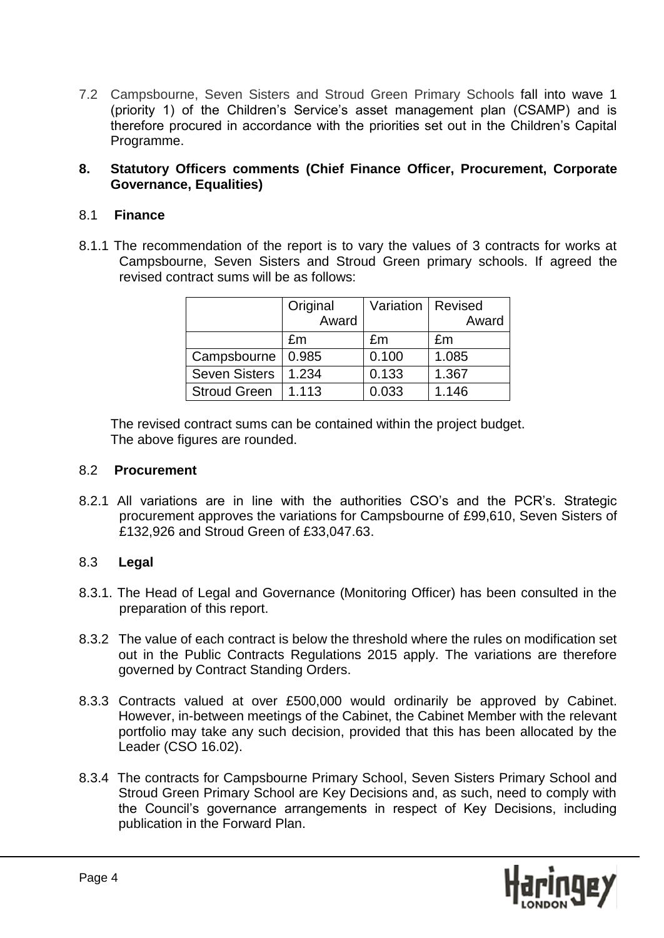7.2 Campsbourne, Seven Sisters and Stroud Green Primary Schools fall into wave 1 (priority 1) of the Children's Service's asset management plan (CSAMP) and is therefore procured in accordance with the priorities set out in the Children's Capital Programme.

#### **8. Statutory Officers comments (Chief Finance Officer, Procurement, Corporate Governance, Equalities)**

## 8.1 **Finance**

8.1.1 The recommendation of the report is to vary the values of 3 contracts for works at Campsbourne, Seven Sisters and Stroud Green primary schools. If agreed the revised contract sums will be as follows:

|                      | Original<br>Award | Variation   Revised | Award |
|----------------------|-------------------|---------------------|-------|
|                      | £m                | £m                  | £m    |
| Campsbourne          | 0.985             | 0.100               | 1.085 |
| <b>Seven Sisters</b> | 1.234             | 0.133               | 1.367 |
| <b>Stroud Green</b>  | 1.113             | 0.033               | 1.146 |

The revised contract sums can be contained within the project budget. The above figures are rounded.

#### 8.2 **Procurement**

8.2.1 All variations are in line with the authorities CSO's and the PCR's. Strategic procurement approves the variations for Campsbourne of £99,610, Seven Sisters of £132,926 and Stroud Green of £33,047.63.

## 8.3 **Legal**

- 8.3.1. The Head of Legal and Governance (Monitoring Officer) has been consulted in the preparation of this report.
- 8.3.2 The value of each contract is below the threshold where the rules on modification set out in the Public Contracts Regulations 2015 apply. The variations are therefore governed by Contract Standing Orders.
- 8.3.3 Contracts valued at over £500,000 would ordinarily be approved by Cabinet. However, in-between meetings of the Cabinet, the Cabinet Member with the relevant portfolio may take any such decision, provided that this has been allocated by the Leader (CSO 16.02).
- 8.3.4 The contracts for Campsbourne Primary School, Seven Sisters Primary School and Stroud Green Primary School are Key Decisions and, as such, need to comply with the Council's governance arrangements in respect of Key Decisions, including publication in the Forward Plan.